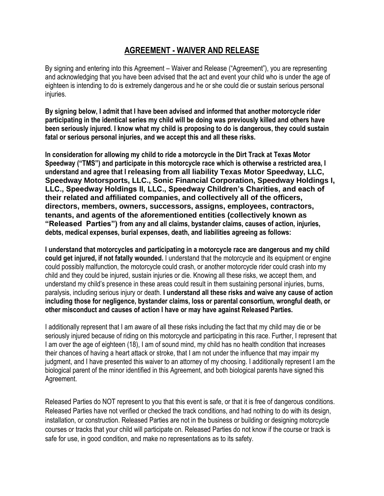## **AGREEMENT - WAIVER AND RELEASE**

By signing and entering into this Agreement – Waiver and Release ("Agreement"), you are representing and acknowledging that you have been advised that the act and event your child who is under the age of eighteen is intending to do is extremely dangerous and he or she could die or sustain serious personal injuries.

**By signing below, I admit that I have been advised and informed that another motorcycle rider participating in the identical series my child will be doing was previously killed and others have been seriously injured. I know what my child is proposing to do is dangerous, they could sustain fatal or serious personal injuries, and we accept this and all these risks.** 

**In consideration for allowing my child to ride a motorcycle in the Dirt Track at Texas Motor Speedway ("TMS") and participate in this motorcycle race which is otherwise a restricted area, I understand and agree that I releasing from all liability Texas Motor Speedway, LLC, Speedway Motorsports, LLC., Sonic Financial Corporation, Speedway Holdings I, LLC., Speedway Holdings II, LLC., Speedway Children's Charities, and each of their related and affiliated companies, and collectively all of the officers, directors, members, owners, successors, assigns, employees, contractors, tenants, and agents of the aforementioned entities (collectively known as "Released Parties") from any and all claims, bystander claims, causes of action, injuries, debts, medical expenses, burial expenses, death, and liabilities agreeing as follows:** 

**I understand that motorcycles and participating in a motorcycle race are dangerous and my child could get injured, if not fatally wounded.** I understand that the motorcycle and its equipment or engine could possibly malfunction, the motorcycle could crash, or another motorcycle rider could crash into my child and they could be injured, sustain injuries or die. Knowing all these risks, we accept them, and understand my child's presence in these areas could result in them sustaining personal injuries, burns, paralysis, including serious injury or death. **I understand all these risks and waive any cause of action including those for negligence, bystander claims, loss or parental consortium, wrongful death, or other misconduct and causes of action I have or may have against Released Parties.** 

I additionally represent that I am aware of all these risks including the fact that my child may die or be seriously injured because of riding on this motorcycle and participating in this race. Further, I represent that I am over the age of eighteen (18), I am of sound mind, my child has no health condition that increases their chances of having a heart attack or stroke, that I am not under the influence that may impair my judgment, and I have presented this waiver to an attorney of my choosing. I additionally represent I am the biological parent of the minor identified in this Agreement, and both biological parents have signed this Agreement.

Released Parties do NOT represent to you that this event is safe, or that it is free of dangerous conditions. Released Parties have not verified or checked the track conditions, and had nothing to do with its design, installation, or construction. Released Parties are not in the business or building or designing motorcycle courses or tracks that your child will participate on. Released Parties do not know if the course or track is safe for use, in good condition, and make no representations as to its safety.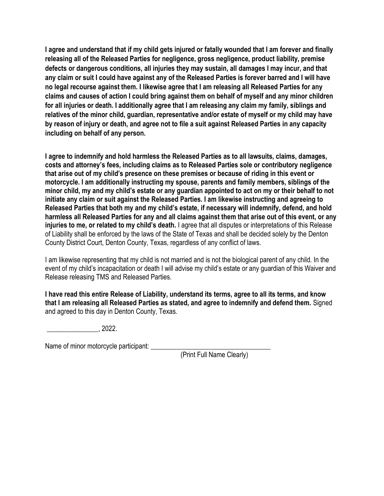**I agree and understand that if my child gets injured or fatally wounded that I am forever and finally releasing all of the Released Parties for negligence, gross negligence, product liability, premise defects or dangerous conditions, all injuries they may sustain, all damages I may incur, and that any claim or suit I could have against any of the Released Parties is forever barred and I will have no legal recourse against them. I likewise agree that I am releasing all Released Parties for any claims and causes of action I could bring against them on behalf of myself and any minor children for all injuries or death. I additionally agree that I am releasing any claim my family, siblings and relatives of the minor child, guardian, representative and/or estate of myself or my child may have by reason of injury or death, and agree not to file a suit against Released Parties in any capacity including on behalf of any person.** 

**I agree to indemnify and hold harmless the Released Parties as to all lawsuits, claims, damages, costs and attorney's fees, including claims as to Released Parties sole or contributory negligence that arise out of my child's presence on these premises or because of riding in this event or motorcycle. I am additionally instructing my spouse, parents and family members, siblings of the minor child, my and my child's estate or any guardian appointed to act on my or their behalf to not initiate any claim or suit against the Released Parties. I am likewise instructing and agreeing to Released Parties that both my and my child's estate, if necessary will indemnify, defend, and hold harmless all Released Parties for any and all claims against them that arise out of this event, or any injuries to me, or related to my child's death.** I agree that all disputes or interpretations of this Release of Liability shall be enforced by the laws of the State of Texas and shall be decided solely by the Denton County District Court, Denton County, Texas, regardless of any conflict of laws.

I am likewise representing that my child is not married and is not the biological parent of any child. In the event of my child's incapacitation or death I will advise my child's estate or any guardian of this Waiver and Release releasing TMS and Released Parties.

**I have read this entire Release of Liability, understand its terms, agree to all its terms, and know that I am releasing all Released Parties as stated, and agree to indemnify and defend them.** Signed and agreed to this day in Denton County, Texas.

 $\overline{\phantom{2025}2022}$ 

Name of minor motorcycle participant: \_\_\_\_\_\_\_\_\_\_\_\_\_\_\_\_\_\_\_\_\_\_\_\_\_\_\_\_\_\_\_\_\_\_\_

(Print Full Name Clearly)